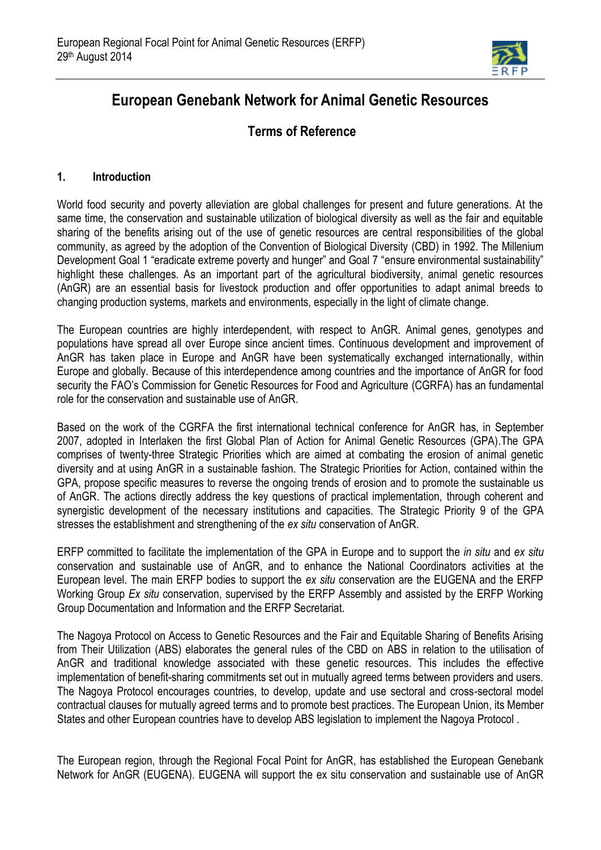

# **European Genebank Network for Animal Genetic Resources**

## **Terms of Reference**

### **1. Introduction**

World food security and poverty alleviation are global challenges for present and future generations. At the same time, the conservation and sustainable utilization of biological diversity as well as the fair and equitable sharing of the benefits arising out of the use of genetic resources are central responsibilities of the global community, as agreed by the adoption of the Convention of Biological Diversity (CBD) in 1992. The Millenium Development Goal 1 "eradicate extreme poverty and hunger" and Goal 7 "ensure environmental sustainability" highlight these challenges. As an important part of the agricultural biodiversity, animal genetic resources (AnGR) are an essential basis for livestock production and offer opportunities to adapt animal breeds to changing production systems, markets and environments, especially in the light of climate change.

The European countries are highly interdependent, with respect to AnGR. Animal genes, genotypes and populations have spread all over Europe since ancient times. Continuous development and improvement of AnGR has taken place in Europe and AnGR have been systematically exchanged internationally, within Europe and globally. Because of this interdependence among countries and the importance of AnGR for food security the FAO's Commission for Genetic Resources for Food and Agriculture (CGRFA) has an fundamental role for the conservation and sustainable use of AnGR.

Based on the work of the CGRFA the first international technical conference for AnGR has, in September 2007, adopted in Interlaken the first Global Plan of Action for Animal Genetic Resources (GPA).The GPA comprises of twenty-three Strategic Priorities which are aimed at combating the erosion of animal genetic diversity and at using AnGR in a sustainable fashion. The Strategic Priorities for Action, contained within the GPA, propose specific measures to reverse the ongoing trends of erosion and to promote the sustainable us of AnGR. The actions directly address the key questions of practical implementation, through coherent and synergistic development of the necessary institutions and capacities. The Strategic Priority 9 of the GPA stresses the establishment and strengthening of the *ex situ* conservation of AnGR.

ERFP committed to facilitate the implementation of the GPA in Europe and to support the *in situ* and *ex situ* conservation and sustainable use of AnGR, and to enhance the National Coordinators activities at the European level. The main ERFP bodies to support the *ex situ* conservation are the EUGENA and the ERFP Working Group *Ex situ* conservation, supervised by the ERFP Assembly and assisted by the ERFP Working Group Documentation and Information and the ERFP Secretariat.

The Nagoya Protocol on Access to Genetic Resources and the Fair and Equitable Sharing of Benefits Arising from Their Utilization (ABS) elaborates the general rules of the CBD on ABS in relation to the utilisation of AnGR and traditional knowledge associated with these genetic resources. This includes the effective implementation of benefit-sharing commitments set out in mutually agreed terms between providers and users. The Nagoya Protocol encourages countries, to develop, update and use sectoral and cross-sectoral model contractual clauses for mutually agreed terms and to promote best practices. The European Union, its Member States and other European countries have to develop ABS legislation to implement the Nagoya Protocol .

The European region, through the Regional Focal Point for AnGR, has established the European Genebank Network for AnGR (EUGENA). EUGENA will support the ex situ conservation and sustainable use of AnGR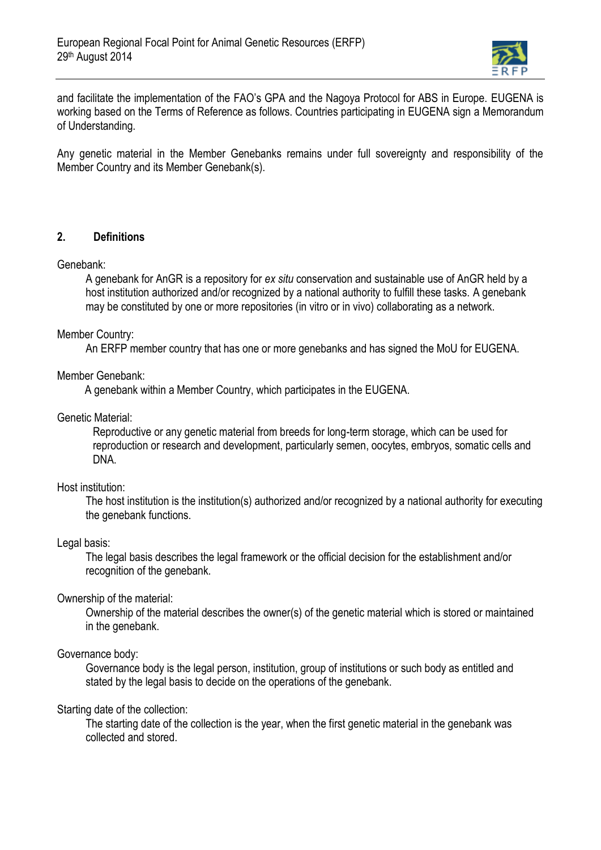

and facilitate the implementation of the FAO's GPA and the Nagoya Protocol for ABS in Europe. EUGENA is working based on the Terms of Reference as follows. Countries participating in EUGENA sign a Memorandum of Understanding.

Any genetic material in the Member Genebanks remains under full sovereignty and responsibility of the Member Country and its Member Genebank(s).

#### **2. Definitions**

Genebank:

A genebank for AnGR is a repository for *ex situ* conservation and sustainable use of AnGR held by a host institution authorized and/or recognized by a national authority to fulfill these tasks. A genebank may be constituted by one or more repositories (in vitro or in vivo) collaborating as a network.

#### Member Country:

An ERFP member country that has one or more genebanks and has signed the MoU for EUGENA.

#### Member Genebank:

A genebank within a Member Country, which participates in the EUGENA.

Genetic Material:

Reproductive or any genetic material from breeds for long-term storage, which can be used for reproduction or research and development, particularly semen, oocytes, embryos, somatic cells and DNA.

#### Host institution:

The host institution is the institution(s) authorized and/or recognized by a national authority for executing the genebank functions.

#### Legal basis:

The legal basis describes the legal framework or the official decision for the establishment and/or recognition of the genebank.

#### Ownership of the material:

Ownership of the material describes the owner(s) of the genetic material which is stored or maintained in the genebank.

#### Governance body:

Governance body is the legal person, institution, group of institutions or such body as entitled and stated by the legal basis to decide on the operations of the genebank.

#### Starting date of the collection:

The starting date of the collection is the year, when the first genetic material in the genebank was collected and stored.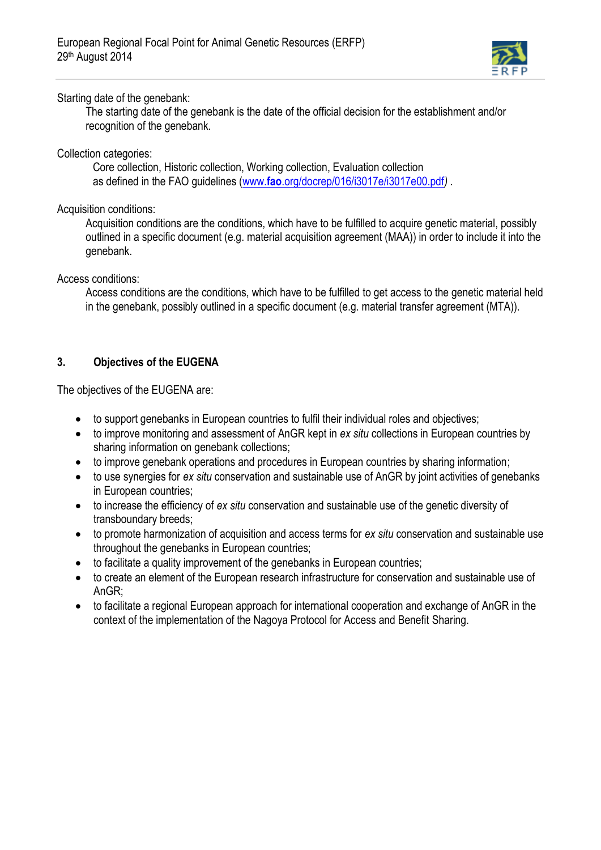

## Starting date of the genebank:

The starting date of the genebank is the date of the official decision for the establishment and/or recognition of the genebank.

## Collection categories:

Core collection, Historic collection, Working collection, Evaluation collection as defined in the FAO guidelines (www.**fao**[.org/docrep/016/i3017e/i3017e00.pdf](http://www.fao.org/docrep/016/i3017e/i3017e00.pdf)*) .*

### Acquisition conditions:

Acquisition conditions are the conditions, which have to be fulfilled to acquire genetic material, possibly outlined in a specific document (e.g. material acquisition agreement (MAA)) in order to include it into the genebank.

#### Access conditions:

Access conditions are the conditions, which have to be fulfilled to get access to the genetic material held in the genebank, possibly outlined in a specific document (e.g. material transfer agreement (MTA)).

## **3. Objectives of the EUGENA**

The objectives of the EUGENA are:

- to support genebanks in European countries to fulfil their individual roles and objectives;
- to improve monitoring and assessment of AnGR kept in *ex situ* collections in European countries by sharing information on genebank collections;
- to improve genebank operations and procedures in European countries by sharing information;
- to use synergies for *ex situ* conservation and sustainable use of AnGR by joint activities of genebanks in European countries;
- to increase the efficiency of *ex situ* conservation and sustainable use of the genetic diversity of transboundary breeds;
- to promote harmonization of acquisition and access terms for *ex situ* conservation and sustainable use throughout the genebanks in European countries;
- to facilitate a quality improvement of the genebanks in European countries;
- to create an element of the European research infrastructure for conservation and sustainable use of AnGR;
- to facilitate a regional European approach for international cooperation and exchange of AnGR in the context of the implementation of the Nagoya Protocol for Access and Benefit Sharing.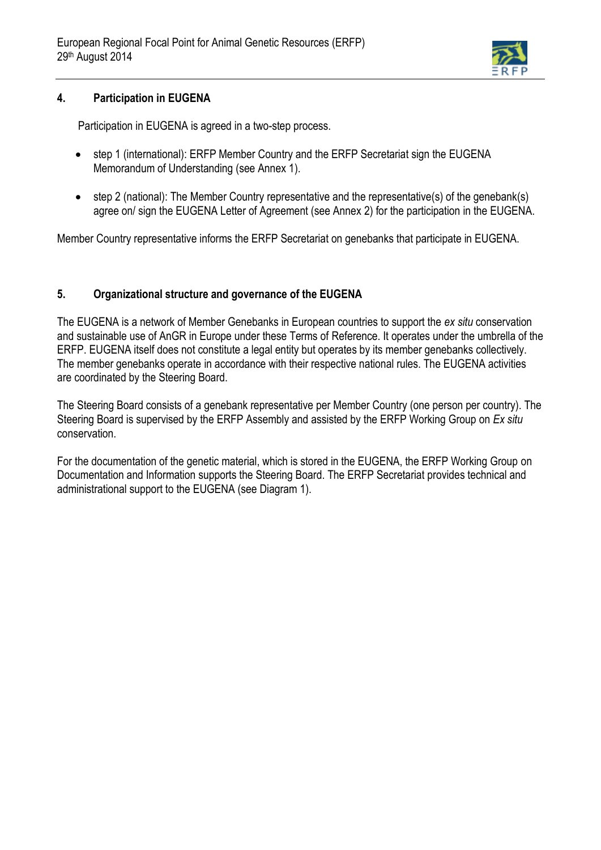

#### **4. Participation in EUGENA**

Participation in EUGENA is agreed in a two-step process.

- step 1 (international): ERFP Member Country and the ERFP Secretariat sign the EUGENA Memorandum of Understanding (see Annex 1).
- step 2 (national): The Member Country representative and the representative(s) of the genebank(s) agree on/ sign the EUGENA Letter of Agreement (see Annex 2) for the participation in the EUGENA.

Member Country representative informs the ERFP Secretariat on genebanks that participate in EUGENA.

## **5. Organizational structure and governance of the EUGENA**

The EUGENA is a network of Member Genebanks in European countries to support the *ex situ* conservation and sustainable use of AnGR in Europe under these Terms of Reference. It operates under the umbrella of the ERFP. EUGENA itself does not constitute a legal entity but operates by its member genebanks collectively. The member genebanks operate in accordance with their respective national rules. The EUGENA activities are coordinated by the Steering Board.

The Steering Board consists of a genebank representative per Member Country (one person per country). The Steering Board is supervised by the ERFP Assembly and assisted by the ERFP Working Group on *Ex situ* conservation.

For the documentation of the genetic material, which is stored in the EUGENA, the ERFP Working Group on Documentation and Information supports the Steering Board. The ERFP Secretariat provides technical and administrational support to the EUGENA (see Diagram 1).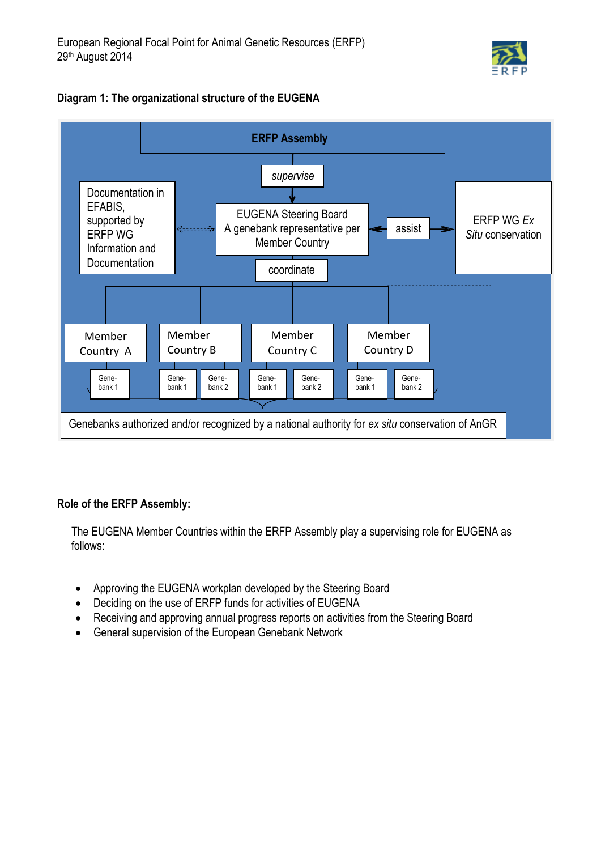

## **Diagram 1: The organizational structure of the EUGENA**



## **Role of the ERFP Assembly:**

The EUGENA Member Countries within the ERFP Assembly play a supervising role for EUGENA as follows:

- Approving the EUGENA workplan developed by the Steering Board
- Deciding on the use of ERFP funds for activities of EUGENA
- Receiving and approving annual progress reports on activities from the Steering Board
- General supervision of the European Genebank Network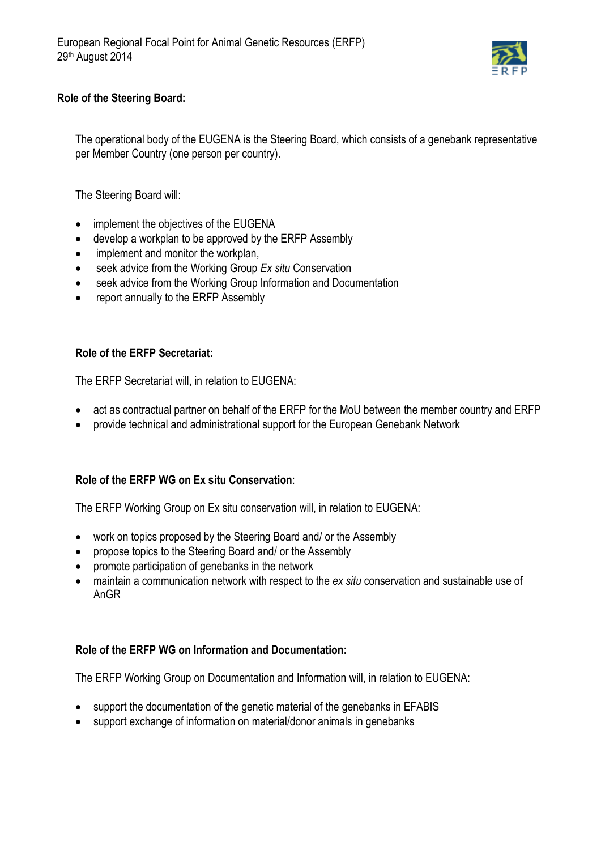

## **Role of the Steering Board:**

The operational body of the EUGENA is the Steering Board, which consists of a genebank representative per Member Country (one person per country).

The Steering Board will:

- implement the objectives of the EUGENA
- develop a workplan to be approved by the ERFP Assembly
- implement and monitor the workplan,
- seek advice from the Working Group *Ex situ* Conservation
- seek advice from the Working Group Information and Documentation
- report annually to the ERFP Assembly

#### **Role of the ERFP Secretariat:**

The ERFP Secretariat will, in relation to EUGENA:

- act as contractual partner on behalf of the ERFP for the MoU between the member country and ERFP
- provide technical and administrational support for the European Genebank Network

#### **Role of the ERFP WG on Ex situ Conservation**:

The ERFP Working Group on Ex situ conservation will, in relation to EUGENA:

- work on topics proposed by the Steering Board and/ or the Assembly
- propose topics to the Steering Board and/ or the Assembly
- promote participation of genebanks in the network
- maintain a communication network with respect to the *ex situ* conservation and sustainable use of AnGR

## **Role of the ERFP WG on Information and Documentation:**

The ERFP Working Group on Documentation and Information will, in relation to EUGENA:

- support the documentation of the genetic material of the genebanks in EFABIS
- support exchange of information on material/donor animals in genebanks